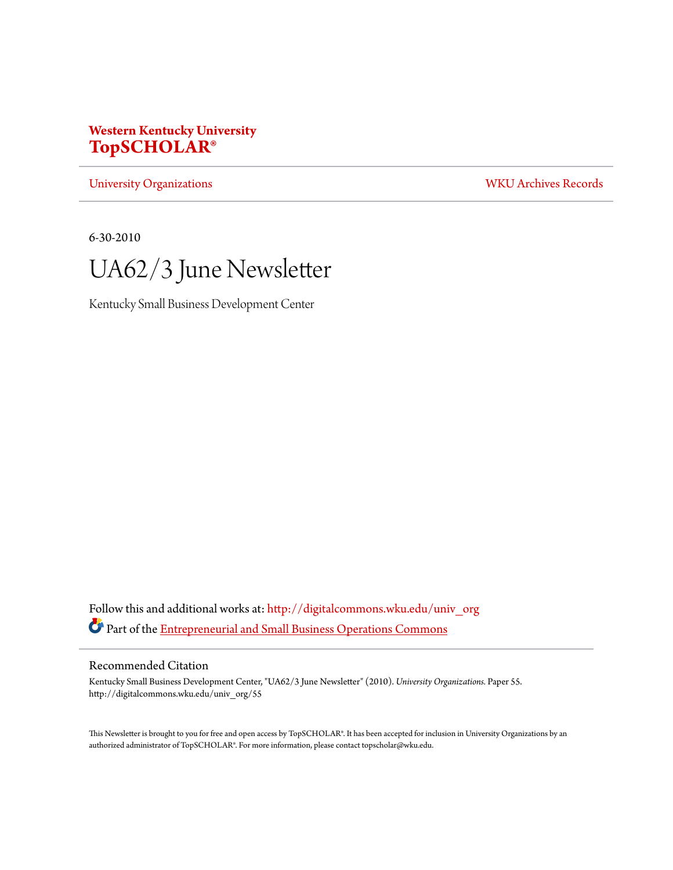## **Western Kentucky University [TopSCHOLAR®](http://digitalcommons.wku.edu?utm_source=digitalcommons.wku.edu%2Funiv_org%2F55&utm_medium=PDF&utm_campaign=PDFCoverPages)**

[University Organizations](http://digitalcommons.wku.edu/univ_org?utm_source=digitalcommons.wku.edu%2Funiv_org%2F55&utm_medium=PDF&utm_campaign=PDFCoverPages) [WKU Archives Records](http://digitalcommons.wku.edu/dlsc_ua_records?utm_source=digitalcommons.wku.edu%2Funiv_org%2F55&utm_medium=PDF&utm_campaign=PDFCoverPages)

6-30-2010



Kentucky Small Business Development Center

Follow this and additional works at: [http://digitalcommons.wku.edu/univ\\_org](http://digitalcommons.wku.edu/univ_org?utm_source=digitalcommons.wku.edu%2Funiv_org%2F55&utm_medium=PDF&utm_campaign=PDFCoverPages) Part of the [Entrepreneurial and Small Business Operations Commons](http://network.bepress.com/hgg/discipline/630?utm_source=digitalcommons.wku.edu%2Funiv_org%2F55&utm_medium=PDF&utm_campaign=PDFCoverPages)

#### Recommended Citation

Kentucky Small Business Development Center, "UA62/3 June Newsletter" (2010). *University Organizations.* Paper 55. http://digitalcommons.wku.edu/univ\_org/55

This Newsletter is brought to you for free and open access by TopSCHOLAR®. It has been accepted for inclusion in University Organizations by an authorized administrator of TopSCHOLAR®. For more information, please contact topscholar@wku.edu.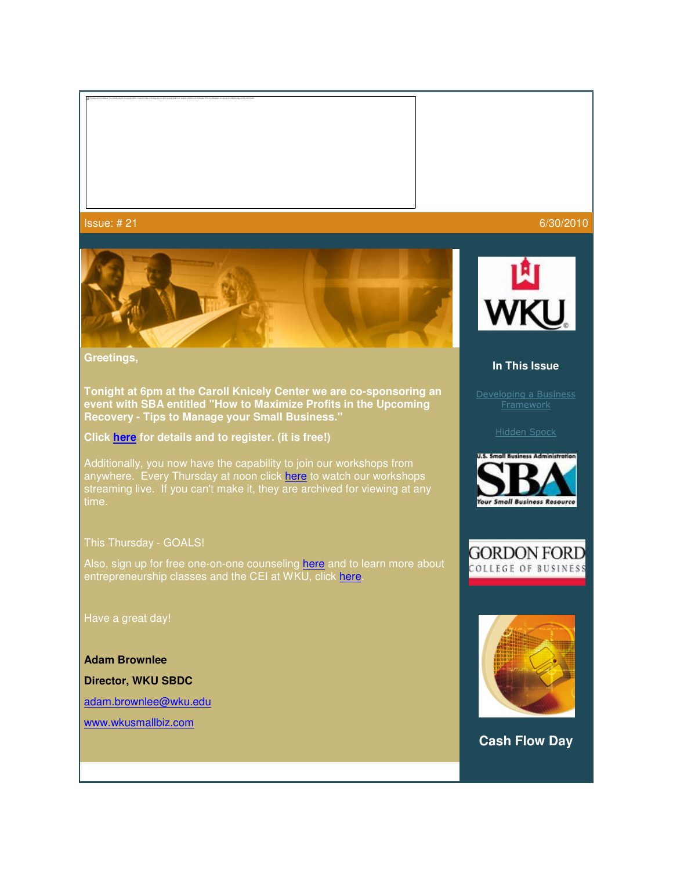

**Greetings,** 

**Tonight at 6pm at the Caroll Knicely Center we are co-sponsoring an event with SBA entitled "How to Maximize Profits in the Upcoming Recovery - Tips to Manage your Small Business."** 

**Click here for details and to register. (it is free!)** 

Additionally, you now have the capability to join our workshops from anywhere. Every Thursday at noon click **here** to watch our workshops streaming live. If you can't make it, they are archived for viewing at any

#### This Thursday - GOALS!

Also, sign up for free one-on-one counseling here and to learn more about entrepreneurship classes and the CEI at WKU, click here.

Have a great day!

**Adam Brownlee**

**Director, WKU SBDC**

adam.brownlee@wku.edu

www.wkusmallbiz.com



#### **In This Issue**

Developing a Business Framework









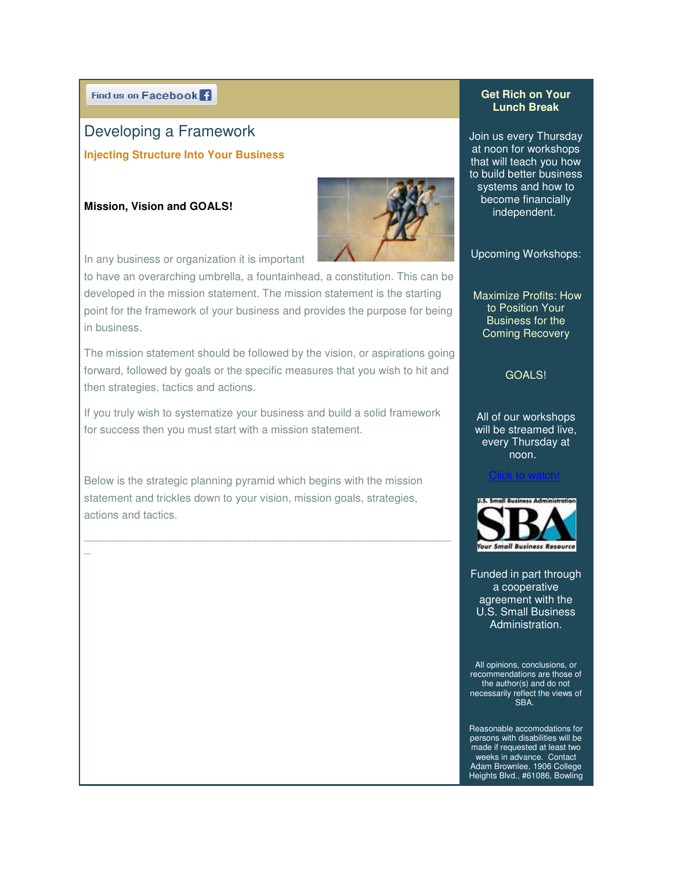Find us on Facebook<sup>1</sup>

# Developing a Framework Developing a Framework **Injecting Structure Into Your Business**

#### **Mission, Vision and GOALS!**

 $\overline{a}$ 



In any business or organization it is important

to have an overarching umbrella, a fountainhead, a constitution. This can be developed in the mission statement. The mission statement is the starting point for the framework of your business and provides the purpose for being in business. In any business or organization it is important<br>to have an overarching umbrella, a fountainhead, a constitution. This can k<br>developed in the mission statement. The mission statement is the starting

The mission statement should be followed by the vision, or aspirations going forward, followed by goals or the specific measures that you wish to hit and then strategies, tactics and actions. The mission statement should be followed by the vision, or aspirations going<br>forward, followed by goals or the specific measures that you wish to hit and<br>then strategies, tactics and actions.<br>If you truly wish to systemati

If you truly wish to systematize your business and build a solid framework for success then you must start with a mission statement.

Below is the strategic planning pyramid which begins with the mission statement and trickles down to your vision, mission goals, strategies, actions and tactics.

\_\_\_\_\_\_\_\_\_\_\_\_\_\_\_\_\_\_\_\_\_\_\_\_\_\_\_\_\_\_\_\_\_\_\_\_\_\_\_\_\_\_\_\_\_\_\_\_\_\_\_\_\_\_\_\_\_\_\_\_

### **Get Rich on Your Lunch Break**

Join us every Thursday Join us every Thursday<br>at noon for workshops that will teach you how to build better business build better busines<br>systems and how to become financially financially independent. independent.

Upcoming Workshops:

Maximize Profits: How<br>to Position Your<br>Business for the<br>Coming Recovery to Position Your Business for the Coming Recovery

## GOALS!

All of our workshops will be streamed live, every Thursday at noon.

Click to watch! **Click to watch!** 



Funded in part through a cooperative agreement with the U.S. Small Business U.S. Administration.

All opinions, conclusions, or recommendations are those of the author(s) and do not necessarily reflect the views of the author(s) and do not<br>the views of SBA.<br>SBA.

Reasonable accomodations for persons with disabilities will be made if requested at least two nade if requested at least two<br>weeks in advance. Contact Adam Brownlee, 1906 College Heights Blvd., #61086, Bowling **College**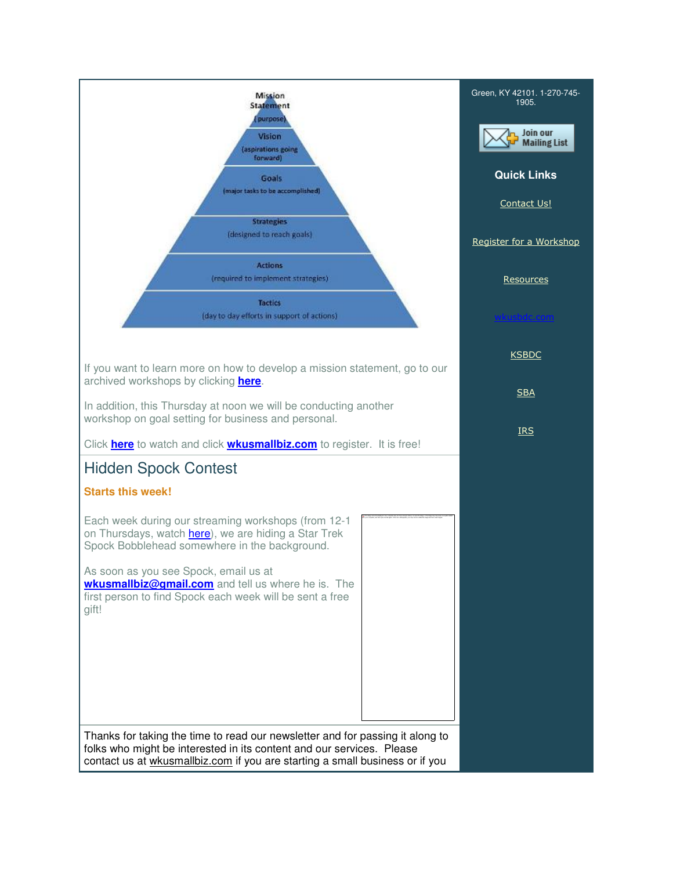